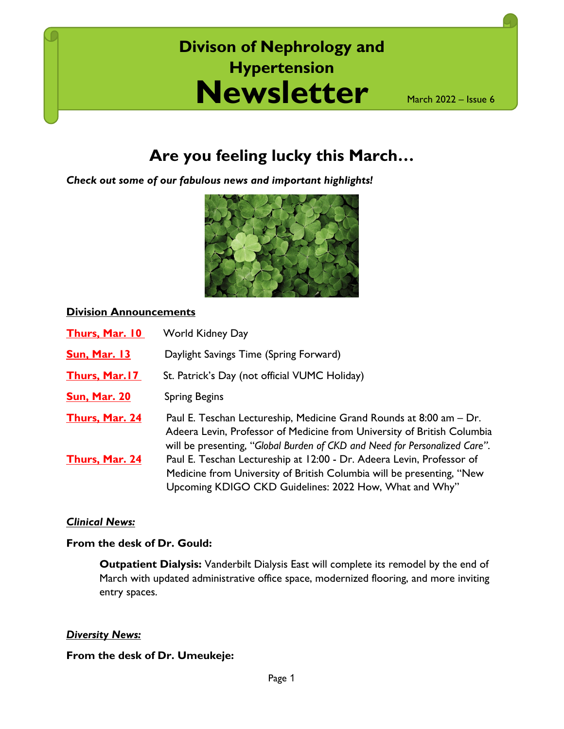## **Newsletter Divison of Nephrology and Hypertension**

March 2022 – Issue 6

### **Are you feeling lucky this March…**

*Check out some of our fabulous news and important highlights!*



#### **Division Announcements**

| <b>Thurs, Mar. 10</b> | <b>World Kidney Day</b>                                                                                                                                                                                                      |
|-----------------------|------------------------------------------------------------------------------------------------------------------------------------------------------------------------------------------------------------------------------|
| <b>Sun, Mar. 13</b>   | Daylight Savings Time (Spring Forward)                                                                                                                                                                                       |
| <b>Thurs, Mar. 17</b> | St. Patrick's Day (not official VUMC Holiday)                                                                                                                                                                                |
| <b>Sun, Mar. 20</b>   | <b>Spring Begins</b>                                                                                                                                                                                                         |
| Thurs, Mar. 24        | Paul E. Teschan Lectureship, Medicine Grand Rounds at 8:00 am - Dr.<br>Adeera Levin, Professor of Medicine from University of British Columbia<br>will be presenting, "Global Burden of CKD and Need for Personalized Care". |
| <b>Thurs, Mar. 24</b> | Paul E. Teschan Lectureship at 12:00 - Dr. Adeera Levin, Professor of<br>Medicine from University of British Columbia will be presenting, "New<br>Upcoming KDIGO CKD Guidelines: 2022 How, What and Why"                     |

#### *Clinical News:*

#### **From the desk of Dr. Gould:**

**Outpatient Dialysis:** Vanderbilt Dialysis East will complete its remodel by the end of March with updated administrative office space, modernized flooring, and more inviting entry spaces.

#### *Diversity News:*

#### **From the desk of Dr. Umeukeje:**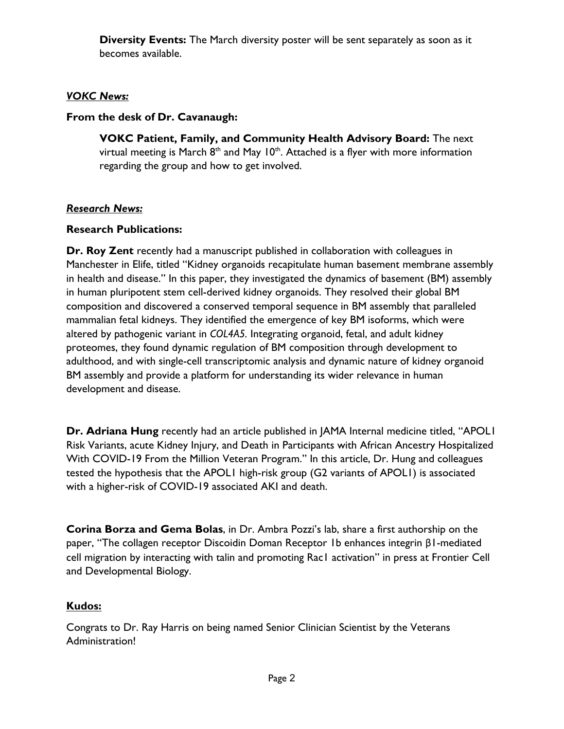**Diversity Events:** The March diversity poster will be sent separately as soon as it becomes available.

#### *VOKC News:*

#### **From the desk of Dr. Cavanaugh:**

**VOKC Patient, Family, and Community Health Advisory Board:** The next virtual meeting is March  $8<sup>th</sup>$  and May 10<sup>th</sup>. Attached is a flyer with more information regarding the group and how to get involved.

#### *Research News:*

#### **Research Publications:**

**Dr. Roy Zent** recently had a manuscript published in collaboration with colleagues in Manchester in Elife, titled "Kidney organoids recapitulate human basement membrane assembly in health and disease." In this paper, they investigated the dynamics of basement (BM) assembly in human pluripotent stem cell-derived kidney organoids. They resolved their global BM composition and discovered a conserved temporal sequence in BM assembly that paralleled mammalian fetal kidneys. They identified the emergence of key BM isoforms, which were altered by pathogenic variant in *COL4A5.* Integrating organoid, fetal, and adult kidney proteomes, they found dynamic regulation of BM composition through development to adulthood, and with single-cell transcriptomic analysis and dynamic nature of kidney organoid BM assembly and provide a platform for understanding its wider relevance in human development and disease.

**Dr. Adriana Hung** recently had an article published in JAMA Internal medicine titled, "APOL1 Risk Variants, acute Kidney Injury, and Death in Participants with African Ancestry Hospitalized With COVID-19 From the Million Veteran Program." In this article, Dr. Hung and colleagues tested the hypothesis that the APOL1 high-risk group (G2 variants of APOL1) is associated with a higher-risk of COVID-19 associated AKI and death.

**Corina Borza and Gema Bolas**, in Dr. Ambra Pozzi's lab, share a first authorship on the paper, "The collagen receptor Discoidin Doman Receptor 1b enhances integrin β1-mediated cell migration by interacting with talin and promoting Rac1 activation" in press at Frontier Cell and Developmental Biology.

#### **Kudos:**

Congrats to Dr. Ray Harris on being named Senior Clinician Scientist by the Veterans Administration!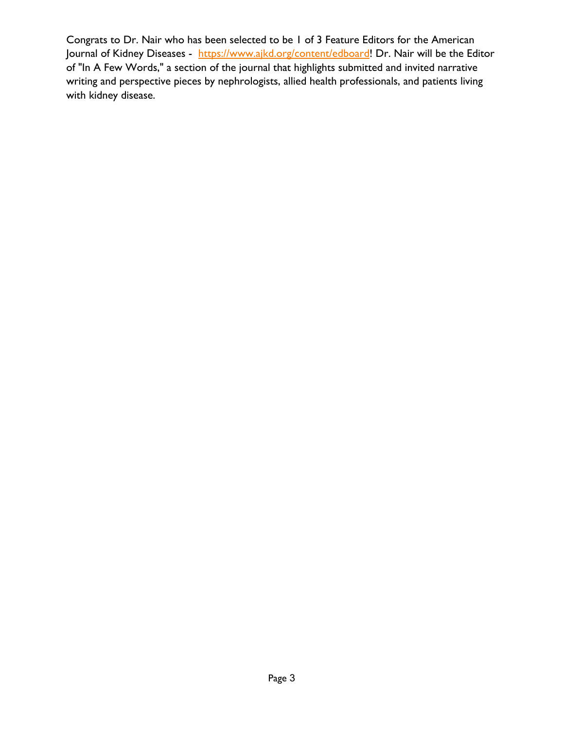Congrats to Dr. Nair who has been selected to be 1 of 3 Feature Editors for the American Journal of Kidney Diseases - [https://www.ajkd.org/content/edboard!](https://nam12.safelinks.protection.outlook.com/?url=https%3A%2F%2Fwww.ajkd.org%2Fcontent%2Fedboard&data=04%7C01%7Csavannah.sumatra%40vumc.org%7Ce44f762a79e84415698f08d9ecf89ac3%7Cef57503014244ed8b83c12c533d879ab%7C0%7C0%7C637801374752767869%7CUnknown%7CTWFpbGZsb3d8eyJWIjoiMC4wLjAwMDAiLCJQIjoiV2luMzIiLCJBTiI6Ik1haWwiLCJXVCI6Mn0%3D%7C3000&sdata=HAbRcfMNgGFx%2Fv89%2FE2pOLtcttCTxbh%2B1tccvHVYOaI%3D&reserved=0) Dr. Nair will be the Editor of "In A Few Words," a section of the journal that highlights submitted and invited narrative writing and perspective pieces by nephrologists, allied health professionals, and patients living with kidney disease.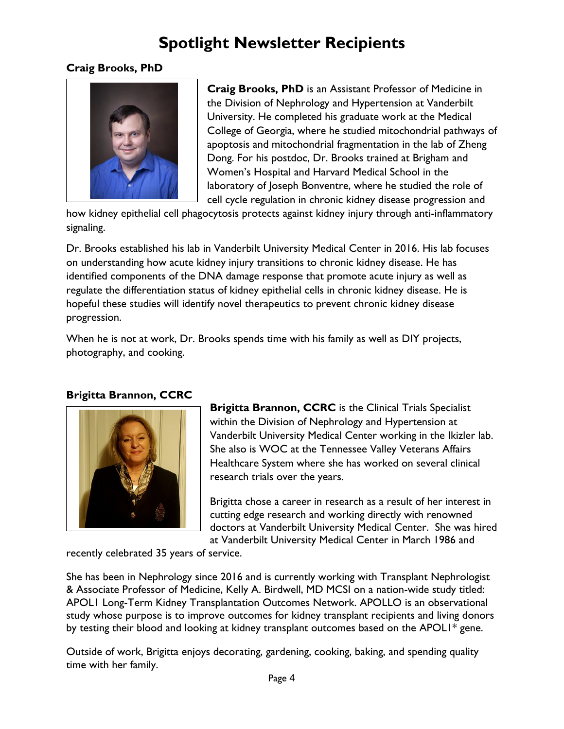### **Spotlight Newsletter Recipients**

#### **Craig Brooks, PhD**



**Craig Brooks, PhD** is an Assistant Professor of Medicine in the Division of Nephrology and Hypertension at Vanderbilt University. He completed his graduate work at the Medical College of Georgia, where he studied mitochondrial pathways of apoptosis and mitochondrial fragmentation in the lab of Zheng Dong. For his postdoc, Dr. Brooks trained at Brigham and Women's Hospital and Harvard Medical School in the laboratory of Joseph Bonventre, where he studied the role of cell cycle regulation in chronic kidney disease progression and

how kidney epithelial cell phagocytosis protects against kidney injury through anti-inflammatory signaling.

Dr. Brooks established his lab in Vanderbilt University Medical Center in 2016. His lab focuses on understanding how acute kidney injury transitions to chronic kidney disease. He has identified components of the DNA damage response that promote acute injury as well as regulate the differentiation status of kidney epithelial cells in chronic kidney disease. He is hopeful these studies will identify novel therapeutics to prevent chronic kidney disease progression.

When he is not at work, Dr. Brooks spends time with his family as well as DIY projects, photography, and cooking.

#### **Brigitta Brannon, CCRC**



**Brigitta Brannon, CCRC** is the Clinical Trials Specialist within the Division of Nephrology and Hypertension at Vanderbilt University Medical Center working in the Ikizler lab. She also is WOC at the Tennessee Valley Veterans Affairs Healthcare System where she has worked on several clinical research trials over the years.

Brigitta chose a career in research as a result of her interest in cutting edge research and working directly with renowned doctors at Vanderbilt University Medical Center. She was hired at Vanderbilt University Medical Center in March 1986 and

recently celebrated 35 years of service.

She has been in Nephrology since 2016 and is currently working with Transplant Nephrologist & Associate Professor of Medicine, Kelly A. Birdwell, MD MCSI on a nation-wide study titled: APOL1 Long-Term Kidney Transplantation Outcomes Network. APOLLO is an observational study whose purpose is to improve outcomes for kidney transplant recipients and living donors by testing their blood and looking at kidney transplant outcomes based on the APOL1\* gene.

Outside of work, Brigitta enjoys decorating, gardening, cooking, baking, and spending quality time with her family.